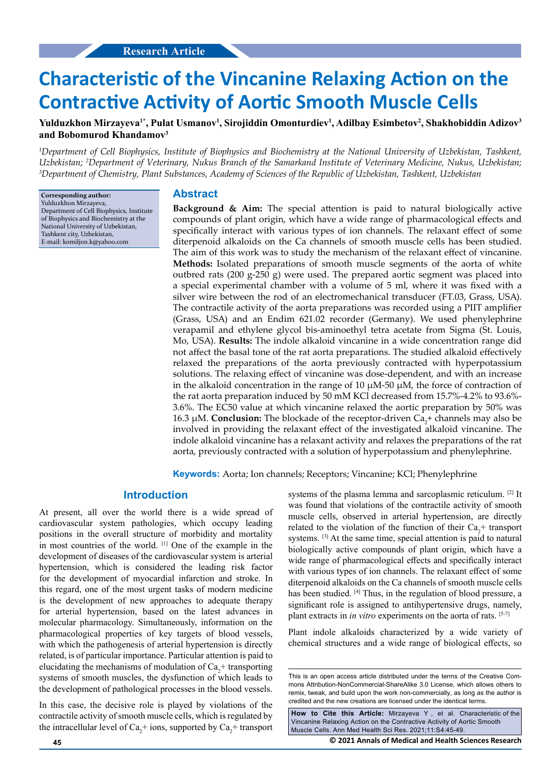# **Characteristic of the Vincanine Relaxing Action on the Contractive Activity of Aortic Smooth Muscle Cells**

Yulduzkhon Mirzayeva<sup>1\*</sup>, Pulat Usmanov<sup>1</sup>, Sirojiddin Omonturdiev<sup>1</sup>, Adilbay Esimbetov<sup>2</sup>, Shakhobiddin Adizov<sup>3</sup> **and Bobomurod Khandamov3**

<sup>1</sup>Department of Cell Biophysics, Institute of Biophysics and Biochemistry at the National University of Uzbekistan, Tashkent, *Uzbekistan; 2 Department of Veterinary, Nukus Branch of the Samarkand Institute of Veterinary Medicine, Nukus, Uzbekistan; 3 Department of Chemistry, Plant Substances, Academy of Sciences of the Republic of Uzbekistan, Tashkent, Uzbekistan*

**Corresponding author:** Yulduzkhon Mirzayeva, Department of Cell Biophysics, Institute of Biophysics and Biochemistry at the National University of Uzbekistan, Tashkent city, Uzbekistan, E-mail: komiljon.k@yahoo.com

#### **Abstract**

**Background & Aim:** The special attention is paid to natural biologically active compounds of plant origin, which have a wide range of pharmacological effects and specifically interact with various types of ion channels. The relaxant effect of some diterpenoid alkaloids on the Ca channels of smooth muscle cells has been studied. The aim of this work was to study the mechanism of the relaxant effect of vincanine. **Methods:** Isolated preparations of smooth muscle segments of the aorta of white outbred rats (200 g-250 g) were used. The prepared aortic segment was placed into a special experimental chamber with a volume of 5 ml, where it was fixed with a silver wire between the rod of an electromechanical transducer (FT.03, Grass, USA). The contractile activity of the aorta preparations was recorded using a PIIT amplifier (Grass, USA) and an Endim 621.02 recorder (Germany). We used phenylephrine verapamil and ethylene glycol bis-aminoethyl tetra acetate from Sigma (St. Louis, Mo, USA). **Results:** The indole alkaloid vincanine in a wide concentration range did not affect the basal tone of the rat aorta preparations. The studied alkaloid effectively relaxed the preparations of the aorta previously contracted with hyperpotassium solutions. The relaxing effect of vincanine was dose-dependent, and with an increase in the alkaloid concentration in the range of 10  $\mu$ M-50  $\mu$ M, the force of contraction of the rat aorta preparation induced by 50 mM KCl decreased from 15.7%-4.2% to 93.6%- 3.6%. The EC50 value at which vincanine relaxed the aortic preparation by 50% was 16.3 μM. **Conclusion:** The blockade of the receptor-driven Ca<sub>2</sub>+ channels may also be involved in providing the relaxant effect of the investigated alkaloid vincanine. The indole alkaloid vincanine has a relaxant activity and relaxes the preparations of the rat aorta, previously contracted with a solution of hyperpotassium and phenylephrine.

**Keywords:** Aorta; Ion channels; Receptors; Vincanine; КСl; Phenylephrine

# **Introduction**

At present, all over the world there is a wide spread of cardiovascular system pathologies, which occupy leading positions in the overall structure of morbidity and mortality in most countries of the world. [1] One of the example in the development of diseases of the cardiovascular system is arterial hypertension, which is considered the leading risk factor for the development of myocardial infarction and stroke. In this regard, one of the most urgent tasks of modern medicine is the development of new approaches to adequate therapy for arterial hypertension, based on the latest advances in molecular pharmacology. Simultaneously, information on the pharmacological properties of key targets of blood vessels, with which the pathogenesis of arterial hypertension is directly related, is of particular importance. Particular attention is paid to elucidating the mechanisms of modulation of  $Ca<sub>2</sub>$ + transporting systems of smooth muscles, the dysfunction of which leads to the development of pathological processes in the blood vessels.

In this case, the decisive role is played by violations of the contractile activity of smooth muscle cells, which is regulated by the intracellular level of  $Ca_2^+$  ions, supported by  $Ca_2^+$  transport systems of the plasma lemma and sarcoplasmic reticulum. [2] It was found that violations of the contractile activity of smooth muscle cells, observed in arterial hypertension, are directly related to the violation of the function of their  $Ca<sub>2</sub>$ + transport systems. [3] At the same time, special attention is paid to natural biologically active compounds of plant origin, which have a wide range of pharmacological effects and specifically interact with various types of ion channels. The relaxant effect of some diterpenoid alkaloids on the Ca channels of smooth muscle cells has been studied. [4] Thus, in the regulation of blood pressure, a significant role is assigned to antihypertensive drugs, namely, plant extracts in *in vitro* experiments on the aorta of rats. [5-7]

Plant indole alkaloids characterized by a wide variety of chemical structures and a wide range of biological effects, so

**How to Cite this Article:** Mirzayeva Y , et al. Characteristic of the Vincanine Relaxing Action on the Contractive Activity of Aortic Smooth Muscle Cells. Ann Med Health Sci Res. 2021;11:S4:45-49.

**45 © 2021 Annals of Medical and Health Sciences Research** 

This is an open access article distributed under the terms of the Creative Commons Attribution-NonCommercial-ShareAlike 3.0 License, which allows others to remix, tweak, and build upon the work non-commercially, as long as the author is credited and the new creations are licensed under the identical terms.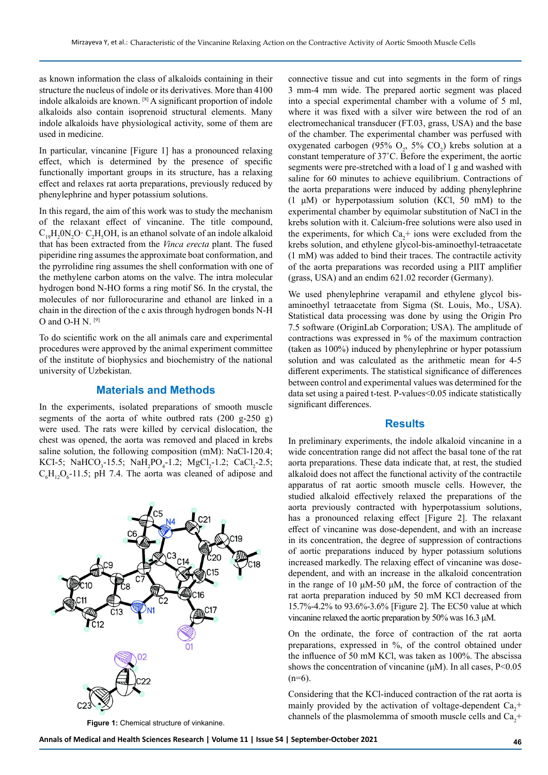as known information the class of alkaloids containing in their structure the nucleus of indole or its derivatives. More than 4100 indole alkaloids are known. [8] A significant proportion of indole alkaloids also contain isoprenoid structural elements. Many indole alkaloids have physiological activity, some of them are used in medicine.

In particular, vincanine [Figure 1] has a pronounced relaxing effect, which is determined by the presence of specific functionally important groups in its structure, has a relaxing effect and relaxes rat aorta preparations, previously reduced by phenylephrine and hyper potassium solutions.

In this regard, the aim of this work was to study the mechanism of the relaxant effect of vincanine. The title compound,  $C_{19}H_2ON_2O \cdot C_2H_5OH$ , is an ethanol solvate of an indole alkaloid that has been extracted from the *Vinca erecta* plant. The fused piperidine ring assumes the approximate boat conformation, and the pyrrolidine ring assumes the shell conformation with one of the methylene carbon atoms on the valve. The intra molecular hydrogen bond N-HO forms a ring motif S6. In the crystal, the molecules of nor fullorocurarine and ethanol are linked in a chain in the direction of the c axis through hydrogen bonds N-H O and O-H N.  $[9]$ 

To do scientific work on the all animals care and experimental procedures were approved by the animal experiment committee of the institute of biophysics and biochemistry of the national university of Uzbekistan.

### **Materials and Methods**

In the experiments, isolated preparations of smooth muscle segments of the aorta of white outbred rats  $(200 \text{ g}-250 \text{ g})$ were used. The rats were killed by cervical dislocation, the chest was opened, the aorta was removed and placed in krebs saline solution, the following composition (mM): NaCl-120.4; KCI-5; NaHCO<sub>3</sub>-15.5; NaH<sub>2</sub>PO<sub>4</sub>-1.2; MgCl<sub>2</sub>-1.2; CaCl<sub>2</sub>-2.5;  $C_6H_{12}O_6$ -11.5; pH 7.4. The aorta was cleaned of adipose and



**Figure 1:** Chemical structure of vinkanine.

connective tissue and cut into segments in the form of rings 3 mm-4 mm wide. The prepared aortic segment was placed into a special experimental chamber with a volume of 5 ml, where it was fixed with a silver wire between the rod of an electromechanical transducer (FT.03, grass, USA) and the base of the chamber. The experimental chamber was perfused with oxygenated carbogen (95%  $O_2$ , 5%  $CO_2$ ) krebs solution at a constant temperature of 37˚C. Before the experiment, the aortic segments were pre-stretched with a load of 1 g and washed with saline for 60 minutes to achieve equilibrium. Contractions of the aorta preparations were induced by adding phenylephrine (1 μM) or hyperpotassium solution (KCl, 50 mM) to the experimental chamber by equimolar substitution of NaCl in the krebs solution with it. Calcium-free solutions were also used in the experiments, for which  $Ca<sub>2</sub>$ + ions were excluded from the krebs solution, and ethylene glycol-bis-aminoethyl-tetraacetate (1 mM) was added to bind their traces. The contractile activity of the aorta preparations was recorded using a PIIT amplifier (grass, USA) and an endim 621.02 recorder (Germany).

We used phenylephrine verapamil and ethylene glycol bisaminoethyl tetraacetate from Sigma (St. Louis, Mo., USA). Statistical data processing was done by using the Origin Pro 7.5 software (OriginLab Corporation; USA). The amplitude of contractions was expressed in % of the maximum contraction (taken as 100%) induced by phenylephrine or hyper potassium solution and was calculated as the arithmetic mean for 4-5 different experiments. The statistical significance of differences between control and experimental values was determined for the data set using a paired t-test. P-values<0.05 indicate statistically significant differences.

## **Results**

In preliminary experiments, the indole alkaloid vincanine in a wide concentration range did not affect the basal tone of the rat aorta preparations. These data indicate that, at rest, the studied alkaloid does not affect the functional activity of the contractile apparatus of rat aortic smooth muscle cells. However, the studied alkaloid effectively relaxed the preparations of the aorta previously contracted with hyperpotassium solutions, has a pronounced relaxing effect [Figure 2]. The relaxant effect of vincanine was dose-dependent, and with an increase in its concentration, the degree of suppression of contractions of aortic preparations induced by hyper potassium solutions increased markedly. The relaxing effect of vincanine was dosedependent, and with an increase in the alkaloid concentration in the range of 10 μM-50 μM, the force of contraction of the rat aorta preparation induced by 50 mM KCl decreased from 15.7%-4.2% to 93.6%-3.6% [Figure 2]. The EC50 value at which vincanine relaxed the aortic preparation by 50% was 16.3 μM.

On the ordinate, the force of contraction of the rat aorta preparations, expressed in %, of the control obtained under the influence of 50 mM KCl, was taken as 100%. The abscissa shows the concentration of vincanine (μM). In all cases, P<0.05  $(n=6)$ .

Considering that the KCl-induced contraction of the rat aorta is mainly provided by the activation of voltage-dependent  $Ca_2^+$ channels of the plasmolemma of smooth muscle cells and  $Ca_2^+$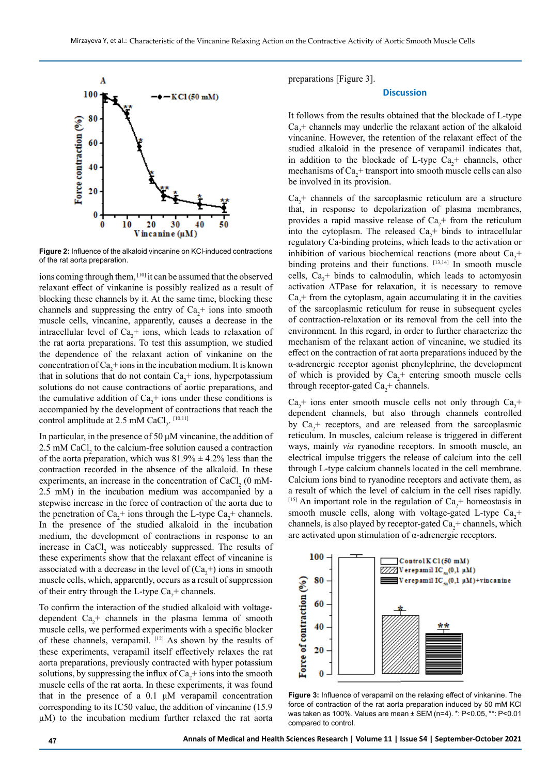

**Figure 2:** Influence of the alkaloid vincanine on KCl-induced contractions of the rat aorta preparation.

ions coming through them, [10] it can be assumed that the observed relaxant effect of vinkanine is possibly realized as a result of blocking these channels by it. At the same time, blocking these channels and suppressing the entry of  $Ca<sub>2</sub>$ + ions into smooth muscle cells, vincanine, apparently, causes a decrease in the intracellular level of  $Ca<sub>2</sub>$ + ions, which leads to relaxation of the rat aorta preparations. To test this assumption, we studied the dependence of the relaxant action of vinkanine on the concentration of  $Ca<sub>2</sub>$ + ions in the incubation medium. It is known that in solutions that do not contain  $Ca<sub>2</sub>$ + ions, hyperpotassium solutions do not cause contractions of aortic preparations, and the cumulative addition of  $Ca<sub>2</sub>$ + ions under these conditions is accompanied by the development of contractions that reach the control amplitude at 2.5 mM CaCl<sub>2</sub>.  $^{[10,11]}$ 

In particular, in the presence of 50 μM vincanine, the addition of 2.5 mM CaCl<sub>2</sub> to the calcium-free solution caused a contraction of the aorta preparation, which was  $81.9\% \pm 4.2\%$  less than the contraction recorded in the absence of the alkaloid. In these experiments, an increase in the concentration of CaCl<sub>2</sub> (0 mM-2.5 mM) in the incubation medium was accompanied by a stepwise increase in the force of contraction of the aorta due to the penetration of  $Ca_2^+$  ions through the L-type  $Ca_2^+$  channels. In the presence of the studied alkaloid in the incubation medium, the development of contractions in response to an increase in  $CaCl<sub>2</sub>$  was noticeably suppressed. The results of these experiments show that the relaxant effect of vincanine is associated with a decrease in the level of  $(Ca<sub>2</sub>+)$  ions in smooth muscle cells, which, apparently, occurs as a result of suppression of their entry through the L-type  $Ca_2^+$  channels.

To confirm the interaction of the studied alkaloid with voltagedependent  $Ca_2^+$  channels in the plasma lemma of smooth muscle cells, we performed experiments with a specific blocker of these channels, verapamil. [12] As shown by the results of these experiments, verapamil itself effectively relaxes the rat aorta preparations, previously contracted with hyper potassium solutions, by suppressing the influx of  $Ca<sub>2</sub>$ + ions into the smooth muscle cells of the rat aorta. In these experiments, it was found that in the presence of a 0.1 μM verapamil concentration corresponding to its IC50 value, the addition of vincanine (15.9 μM) to the incubation medium further relaxed the rat aorta

preparations [Figure 3].

#### **Discussion**

It follows from the results obtained that the blockade of L-type  $Ca<sub>2</sub>$ + channels may underlie the relaxant action of the alkaloid vincanine. However, the retention of the relaxant effect of the studied alkaloid in the presence of verapamil indicates that, in addition to the blockade of L-type  $Ca<sub>2</sub>$ + channels, other mechanisms of  $Ca_2^+$  transport into smooth muscle cells can also be involved in its provision.

 $Ca<sub>2</sub>$ + channels of the sarcoplasmic reticulum are a structure that, in response to depolarization of plasma membranes, provides a rapid massive release of  $Ca<sub>2</sub>$ + from the reticulum into the cytoplasm. The released  $Ca<sub>2</sub>$ <sup>+</sup> binds to intracellular regulatory Ca-binding proteins, which leads to the activation or inhibition of various biochemical reactions (more about  $Ca<sub>2</sub>$ + binding proteins and their functions. [13,14] In smooth muscle cells,  $Ca_2^+$  binds to calmodulin, which leads to actomyosin activation ATPase for relaxation, it is necessary to remove  $Ca<sub>2</sub>$ + from the cytoplasm, again accumulating it in the cavities of the sarcoplasmic reticulum for reuse in subsequent cycles of contraction-relaxation or its removal from the cell into the environment. In this regard, in order to further characterize the mechanism of the relaxant action of vincanine, we studied its effect on the contraction of rat aorta preparations induced by the α-adrenergic receptor agonist phenylephrine, the development of which is provided by  $Ca<sub>2</sub>$ + entering smooth muscle cells through receptor-gated  $Ca<sub>2</sub>$ + channels.

 $Ca<sub>2</sub>$ + ions enter smooth muscle cells not only through  $Ca<sub>2</sub>$ + dependent channels, but also through channels controlled by  $Ca<sub>2</sub>$ + receptors, and are released from the sarcoplasmic reticulum. In muscles, calcium release is triggered in different ways, mainly *via* ryanodine receptors. In smooth muscle, an electrical impulse triggers the release of calcium into the cell through L-type calcium channels located in the cell membrane. Calcium ions bind to ryanodine receptors and activate them, as a result of which the level of calcium in the cell rises rapidly. <sup>[15]</sup> An important role in the regulation of  $Ca<sub>2</sub>$ + homeostasis in smooth muscle cells, along with voltage-gated L-type  $Ca<sub>2</sub>$ + channels, is also played by receptor-gated  $Ca_2^+$  channels, which are activated upon stimulation of α-adrenergic receptors.



**Figure 3:** Influence of verapamil on the relaxing effect of vinkaninе. The force of contraction of the rat aorta preparation induced by 50 mM KCl was taken as 100%. Values are mean ± SEM (n=4). \*: P<0.05, \*\*: P<0.01 compared to control.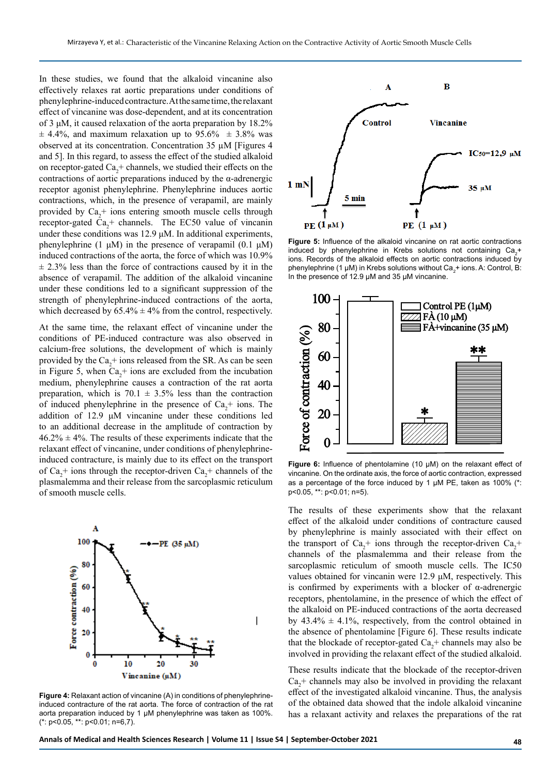In these studies, we found that the alkaloid vincanine also effectively relaxes rat aortic preparations under conditions of phenylephrine-induced contracture. At the same time, the relaxant effect of vincanine was dose-dependent, and at its concentration of 3 μM, it caused relaxation of the aorta preparation by 18.2%  $\pm$  4.4%, and maximum relaxation up to 95.6%  $\pm$  3.8% was observed at its concentration. Concentration 35 µM [Figures 4 and 5]. In this regard, to assess the effect of the studied alkaloid on receptor-gated  $Ca_2^+$  channels, we studied their effects on the contractions of aortic preparations induced by the α-adrenergic receptor agonist phenylephrine. Phenylephrine induces aortic contractions, which, in the presence of verapamil, are mainly provided by  $Ca_2^+$  ions entering smooth muscle cells through receptor-gated  $Ca_2^+$  channels. The EC50 value of vincanin under these conditions was 12.9 μM. In additional experiments, phenylephrine (1 μM) in the presence of verapamil (0.1 μM) induced contractions of the aorta, the force of which was 10.9%  $\pm$  2.3% less than the force of contractions caused by it in the absence of verapamil. The addition of the alkaloid vincanine under these conditions led to a significant suppression of the strength of phenylephrine-induced contractions of the aorta, which decreased by  $65.4\% \pm 4\%$  from the control, respectively.

At the same time, the relaxant effect of vincanine under the conditions of PE-induced contracture was also observed in calcium-free solutions, the development of which is mainly provided by the  $Ca_2^+$  ions released from the SR. As can be seen in Figure 5, when  $Ca<sub>2</sub>$ + ions are excluded from the incubation medium, phenylephrine causes a contraction of the rat aorta preparation, which is  $70.1 \pm 3.5\%$  less than the contraction of induced phenylephrine in the presence of  $Ca<sub>2</sub>$ + ions. The addition of 12.9 μM vincanine under these conditions led to an additional decrease in the amplitude of contraction by  $46.2\% \pm 4\%$ . The results of these experiments indicate that the relaxant effect of vincanine, under conditions of phenylephrineinduced contracture, is mainly due to its effect on the transport of  $Ca_2^+$  ions through the receptor-driven  $Ca_2^+$  channels of the plasmalemma and their release from the sarcoplasmic reticulum of smooth muscle cells.



**Figure 4:** Relaxant action of vincanine (A) in conditions of phenylephrineinduced contracture of the rat aorta. The force of contraction of the rat aorta preparation induced by 1 μM phenylephrine was taken as 100%.  $(*: p<0.05, **: p<0.01; n=6,7)$ .



**Figure 5:** Influence of the alkaloid vincanine on rat aortic contractions induced by phenylephrine in Krebs solutions not containing  $Ca_{2}^{+}$ ions. Records of the alkaloid effects on aortic contractions induced by phenylephrine (1 μM) in Krebs solutions without Ca<sub>2</sub>+ ions. A: Control, B: In the presence of 12.9 μM and 35 μM vincanine.



**Figure 6:** Influence of phentolamine (10 μM) on the relaxant effect of vincanine. On the ordinate axis, the force of aortic contraction, expressed as a percentage of the force induced by 1 μM PE, taken as 100% (\*: p<0.05, \*\*: p<0.01; n=5).

The results of these experiments show that the relaxant effect of the alkaloid under conditions of contracture caused by phenylephrine is mainly associated with their effect on the transport of  $Ca_2^+$  ions through the receptor-driven  $Ca_2^+$ channels of the plasmalemma and their release from the sarcoplasmic reticulum of smooth muscle cells. The IC50 values obtained for vincanin were 12.9 μM, respectively. This is confirmed by experiments with a blocker of α-adrenergic receptors, phentolamine, in the presence of which the effect of the alkaloid on PE-induced contractions of the aorta decreased by  $43.4\% \pm 4.1\%$ , respectively, from the control obtained in the absence of phentolamine [Figure 6]. These results indicate that the blockade of receptor-gated  $Ca<sub>2</sub>$ + channels may also be involved in providing the relaxant effect of the studied alkaloid.

These results indicate that the blockade of the receptor-driven  $Ca<sub>2</sub>$ + channels may also be involved in providing the relaxant effect of the investigated alkaloid vincanine. Thus, the analysis of the obtained data showed that the indole alkaloid vincanine has a relaxant activity and relaxes the preparations of the rat